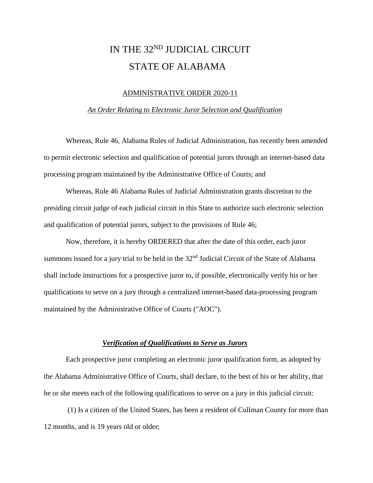# IN THE 32ND JUDICIAL CIRCUIT STATE OF ALABAMA

### ADMINISTRATIVE ORDER 2020-11

### *An Order Relating to Electronic Juror Selection and Qualification*

Whereas, Rule 46, Alabama Rules of Judicial Administration, has recently been amended to permit electronic selection and qualification of potential jurors through an internet-based data processing program maintained by the Administrative Office of Courts; and

Whereas, Rule 46 Alabama Rules of Judicial Administration grants discretion to the presiding circuit judge of each judicial circuit in this State to authorize such electronic selection and qualification of potential jurors, subject to the provisions of Rule 46;

Now, therefore, it is hereby ORDERED that after the date of this order, each juror summons issued for a jury trial to be held in the  $32<sup>nd</sup>$  Judicial Circuit of the State of Alabama shall include instructions for a prospective juror to, if possible, electronically verify his or her qualifications to serve on a jury through a centralized internet-based data-processing program maintained by the Administrative Office of Courts ("AOC").

### *Verification of Qualifications to Serve as Jurors*

Each prospective juror completing an electronic juror qualification form, as adopted by the Alabama Administrative Office of Courts, shall declare, to the best of his or her ability, that he or she meets each of the following qualifications to serve on a jury in this judicial circuit:

(1) Is a citizen of the United States, has been a resident of Cullman County for more than 12 months, and is 19 years old or older;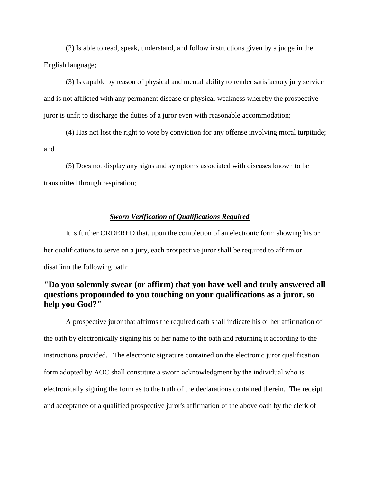(2) Is able to read, speak, understand, and follow instructions given by a judge in the English language;

(3) Is capable by reason of physical and mental ability to render satisfactory jury service and is not afflicted with any permanent disease or physical weakness whereby the prospective juror is unfit to discharge the duties of a juror even with reasonable accommodation;

(4) Has not lost the right to vote by conviction for any offense involving moral turpitude; and

(5) Does not display any signs and symptoms associated with diseases known to be transmitted through respiration;

## *Sworn Verification of Qualifications Required*

It is further ORDERED that, upon the completion of an electronic form showing his or her qualifications to serve on a jury, each prospective juror shall be required to affirm or disaffirm the following oath:

# **"Do you solemnly swear (or affirm) that you have well and truly answered all questions propounded to you touching on your qualifications as a juror, so help you God?"**

A prospective juror that affirms the required oath shall indicate his or her affirmation of the oath by electronically signing his or her name to the oath and returning it according to the instructions provided. The electronic signature contained on the electronic juror qualification form adopted by AOC shall constitute a sworn acknowledgment by the individual who is electronically signing the form as to the truth of the declarations contained therein. The receipt and acceptance of a qualified prospective juror's affirmation of the above oath by the clerk of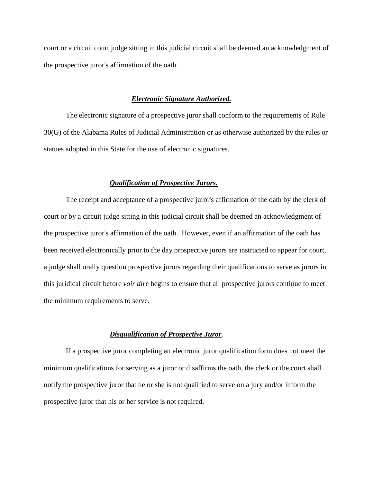court or a circuit court judge sitting in this judicial circuit shall be deemed an acknowledgment of the prospective juror's affirmation of the oath.

## *Electronic Signature Authorized.*

The electronic signature of a prospective juror shall conform to the requirements of Rule 30(G) of the Alabama Rules of Judicial Administration or as otherwise authorized by the rules or statues adopted in this State for the use of electronic signatures.

# *Qualification of Prospective Jurors.*

The receipt and acceptance of a prospective juror's affirmation of the oath by the clerk of court or by a circuit judge sitting in this judicial circuit shall be deemed an acknowledgment of the prospective juror's affirmation of the oath. However, even if an affirmation of the oath has been received electronically prior to the day prospective jurors are instructed to appear for court, a judge shall orally question prospective jurors regarding their qualifications to serve as jurors in this juridical circuit before *voir dire* begins to ensure that all prospective jurors continue to meet the minimum requirements to serve.

### *Disqualification of Prospective Juror*.

If a prospective juror completing an electronic juror qualification form does not meet the minimum qualifications for serving as a juror or disaffirms the oath, the clerk or the court shall notify the prospective juror that he or she is not qualified to serve on a jury and/or inform the prospective juror that his or her service is not required.